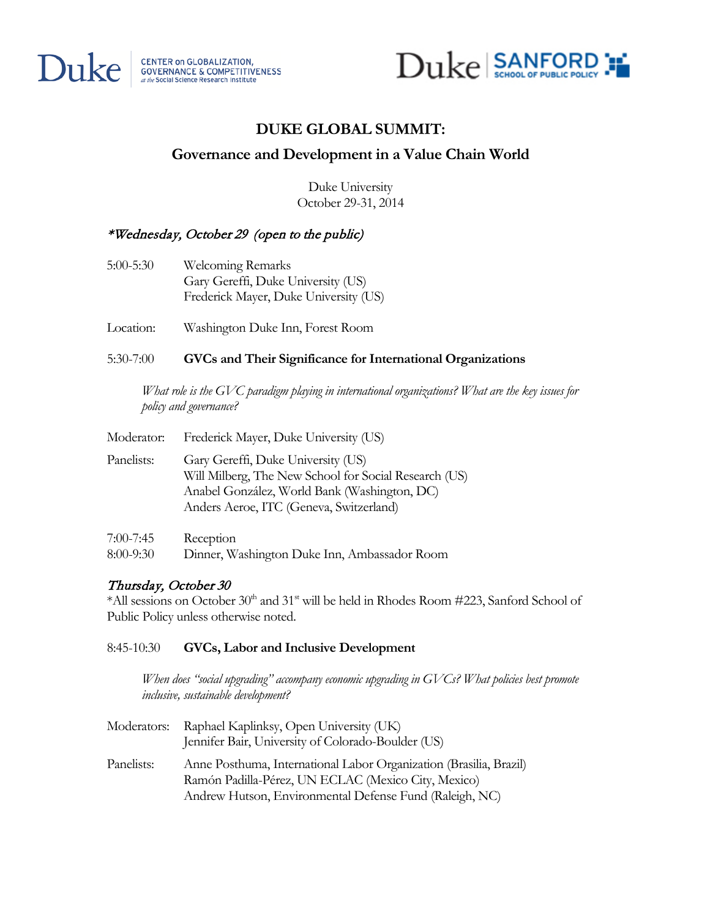



# **DUKE GLOBAL SUMMIT:**

# **Governance and Development in a Value Chain World**

Duke University October 29-31, 2014

# \*Wednesday, October 29 (open to the public)

- 5:00-5:30 Welcoming Remarks Gary Gereffi, Duke University (US) Frederick Mayer, Duke University (US)
- Location: Washington Duke Inn, Forest Room

# 5:30-7:00 **GVCs and Their Significance for International Organizations**

*What role is the GVC paradigm playing in international organizations? What are the key issues for policy and governance?*

| Moderator:                   | Frederick Mayer, Duke University (US)                                                                                                                                                  |
|------------------------------|----------------------------------------------------------------------------------------------------------------------------------------------------------------------------------------|
| Panelists:                   | Gary Gereffi, Duke University (US)<br>Will Milberg, The New School for Social Research (US)<br>Anabel González, World Bank (Washington, DC)<br>Anders Aeroe, ITC (Geneva, Switzerland) |
| $7:00 - 7:45$<br>$8:00-9:30$ | Reception<br>Dinner, Washington Duke Inn, Ambassador Room                                                                                                                              |

# Thursday, October 30

\*All sessions on October  $30<sup>th</sup>$  and  $31<sup>st</sup>$  will be held in Rhodes Room #223, Sanford School of Public Policy unless otherwise noted.

## 8:45-10:30 **GVCs, Labor and Inclusive Development**

*When does "social upgrading" accompany economic upgrading in GVCs? What policies best promote inclusive, sustainable development?*

| Moderators: | Raphael Kaplinksy, Open University (UK)<br>Jennifer Bair, University of Colorado-Boulder (US)                                                                                        |
|-------------|--------------------------------------------------------------------------------------------------------------------------------------------------------------------------------------|
| Panelists:  | Anne Posthuma, International Labor Organization (Brasilia, Brazil)<br>Ramón Padilla-Pérez, UN ECLAC (Mexico City, Mexico)<br>Andrew Hutson, Environmental Defense Fund (Raleigh, NC) |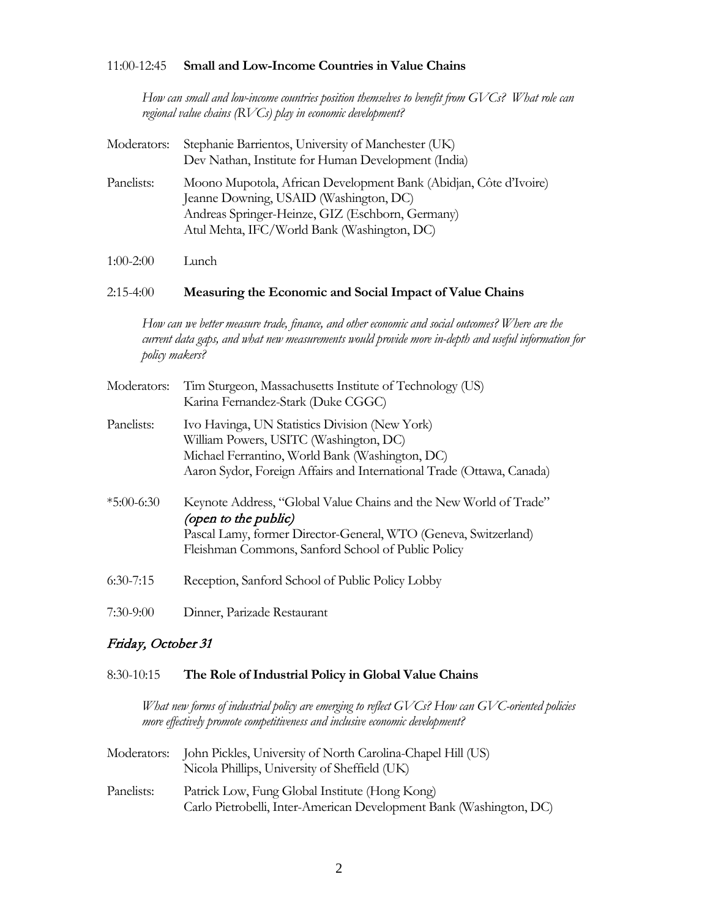#### 11:00-12:45 **Small and Low-Income Countries in Value Chains**

*How can small and low-income countries position themselves to benefit from GVCs? What role can regional value chains (RVCs) play in economic development?* 

| Moderators: | Stephanie Barrientos, University of Manchester (UK)<br>Dev Nathan, Institute for Human Development (India)                                                                                                     |
|-------------|----------------------------------------------------------------------------------------------------------------------------------------------------------------------------------------------------------------|
| Panelists:  | Moono Mupotola, African Development Bank (Abidjan, Côte d'Ivoire)<br>Jeanne Downing, USAID (Washington, DC)<br>Andreas Springer-Heinze, GIZ (Eschborn, Germany)<br>Atul Mehta, IFC/World Bank (Washington, DC) |

1:00-2:00 Lunch

#### 2:15-4:00 **Measuring the Economic and Social Impact of Value Chains**

*How can we better measure trade, finance, and other economic and social outcomes? Where are the current data gaps, and what new measurements would provide more in-depth and useful information for policy makers?*

| Moderators:  | Tim Sturgeon, Massachusetts Institute of Technology (US)<br>Karina Fernandez-Stark (Duke CGGC)                                                                                                                       |
|--------------|----------------------------------------------------------------------------------------------------------------------------------------------------------------------------------------------------------------------|
| Panelists:   | Ivo Havinga, UN Statistics Division (New York)<br>William Powers, USITC (Washington, DC)<br>Michael Ferrantino, World Bank (Washington, DC)<br>Aaron Sydor, Foreign Affairs and International Trade (Ottawa, Canada) |
| $*5:00-6:30$ | Keynote Address, "Global Value Chains and the New World of Trade"<br>(open to the public)<br>Pascal Lamy, former Director-General, WTO (Geneva, Switzerland)<br>Fleishman Commons, Sanford School of Public Policy   |
| $6:30-7:15$  | Reception, Sanford School of Public Policy Lobby                                                                                                                                                                     |
| $7:30-9:00$  | Dinner, Parizade Restaurant                                                                                                                                                                                          |

## Friday, October 31

#### 8:30-10:15 **The Role of Industrial Policy in Global Value Chains**

*What new forms of industrial policy are emerging to reflect GVCs? How can GVC-oriented policies more effectively promote competitiveness and inclusive economic development?*

| Moderators: | John Pickles, University of North Carolina-Chapel Hill (US)<br>Nicola Phillips, University of Sheffield (UK)          |
|-------------|-----------------------------------------------------------------------------------------------------------------------|
| Panelists:  | Patrick Low, Fung Global Institute (Hong Kong)<br>Carlo Pietrobelli, Inter-American Development Bank (Washington, DC) |